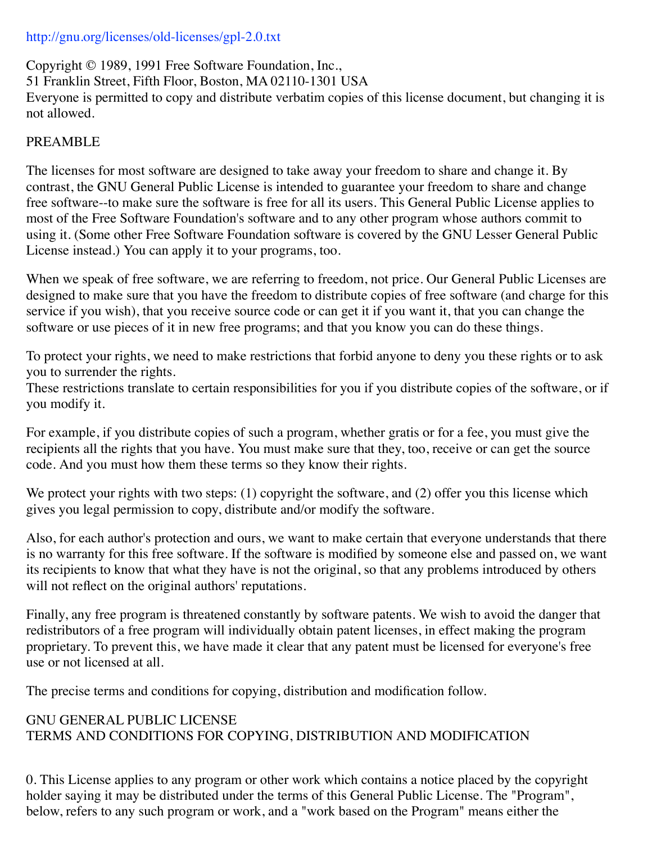## http://gnu.org/licenses/old-licenses/gpl-2.0.txt

Copyright © 1989, 1991 Free Software Foundation, Inc., 51 Franklin Street, Fifth Floor, Boston, MA 02110-1301 USA Everyone is permitted to copy and distribute verbatim copies of this license document, but changing it is not allowed.

## PREAMBLE

The licenses for most software are designed to take away your freedom to share and change it. By contrast, the GNU General Public License is intended to guarantee your freedom to share and change free software--to make sure the software is free for all its users. This General Public License applies to most of the Free Software Foundation's software and to any other program whose authors commit to using it. (Some other Free Software Foundation software is covered by the GNU Lesser General Public License instead.) You can apply it to your programs, too.

When we speak of free software, we are referring to freedom, not price. Our General Public Licenses are designed to make sure that you have the freedom to distribute copies of free software (and charge for this service if you wish), that you receive source code or can get it if you want it, that you can change the software or use pieces of it in new free programs; and that you know you can do these things.

To protect your rights, we need to make restrictions that forbid anyone to deny you these rights or to ask you to surrender the rights.

These restrictions translate to certain responsibilities for you if you distribute copies of the software, or if you modify it.

For example, if you distribute copies of such a program, whether gratis or for a fee, you must give the recipients all the rights that you have. You must make sure that they, too, receive or can get the source code. And you must how them these terms so they know their rights.

We protect your rights with two steps: (1) copyright the software, and (2) offer you this license which gives you legal permission to copy, distribute and/or modify the software.

Also, for each author's protection and ours, we want to make certain that everyone understands that there is no warranty for this free software. If the software is modified by someone else and passed on, we want its recipients to know that what they have is not the original, so that any problems introduced by others will not reflect on the original authors' reputations.

Finally, any free program is threatened constantly by software patents. We wish to avoid the danger that redistributors of a free program will individually obtain patent licenses, in effect making the program proprietary. To prevent this, we have made it clear that any patent must be licensed for everyone's free use or not licensed at all.

The precise terms and conditions for copying, distribution and modification follow.

## GNU GENERAL PUBLIC LICENSE TERMS AND CONDITIONS FOR COPYING, DISTRIBUTION AND MODIFICATION

0. This License applies to any program or other work which contains a notice placed by the copyright holder saying it may be distributed under the terms of this General Public License. The "Program", below, refers to any such program or work, and a "work based on the Program" means either the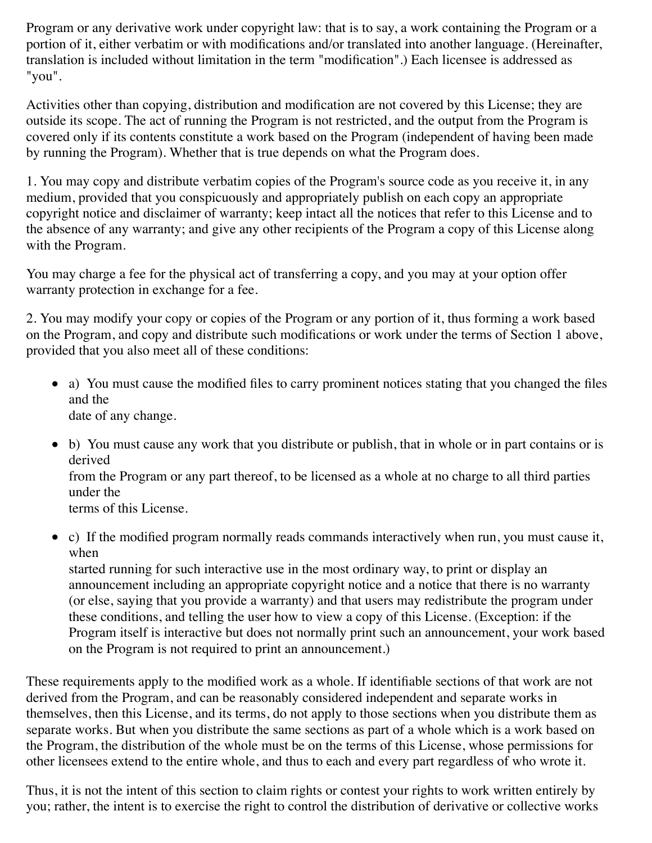Program or any derivative work under copyright law: that is to say, a work containing the Program or a portion of it, either verbatim or with modifications and/or translated into another language. (Hereinafter, translation is included without limitation in the term "modification".) Each licensee is addressed as "you".

Activities other than copying, distribution and modification are not covered by this License; they are outside its scope. The act of running the Program is not restricted, and the output from the Program is covered only if its contents constitute a work based on the Program (independent of having been made by running the Program). Whether that is true depends on what the Program does.

1. You may copy and distribute verbatim copies of the Program's source code as you receive it, in any medium, provided that you conspicuously and appropriately publish on each copy an appropriate copyright notice and disclaimer of warranty; keep intact all the notices that refer to this License and to the absence of any warranty; and give any other recipients of the Program a copy of this License along with the Program.

You may charge a fee for the physical act of transferring a copy, and you may at your option offer warranty protection in exchange for a fee.

2. You may modify your copy or copies of the Program or any portion of it, thus forming a work based on the Program, and copy and distribute such modifications or work under the terms of Section 1 above, provided that you also meet all of these conditions:

- a) You must cause the modified files to carry prominent notices stating that you changed the files and the date of any change.
- b) You must cause any work that you distribute or publish, that in whole or in part contains or is derived from the Program or any part thereof, to be licensed as a whole at no charge to all third parties under the

terms of this License.

c) If the modified program normally reads commands interactively when run, you must cause it, when

started running for such interactive use in the most ordinary way, to print or display an announcement including an appropriate copyright notice and a notice that there is no warranty (or else, saying that you provide a warranty) and that users may redistribute the program under these conditions, and telling the user how to view a copy of this License. (Exception: if the Program itself is interactive but does not normally print such an announcement, your work based on the Program is not required to print an announcement.)

These requirements apply to the modified work as a whole. If identifiable sections of that work are not derived from the Program, and can be reasonably considered independent and separate works in themselves, then this License, and its terms, do not apply to those sections when you distribute them as separate works. But when you distribute the same sections as part of a whole which is a work based on the Program, the distribution of the whole must be on the terms of this License, whose permissions for other licensees extend to the entire whole, and thus to each and every part regardless of who wrote it.

Thus, it is not the intent of this section to claim rights or contest your rights to work written entirely by you; rather, the intent is to exercise the right to control the distribution of derivative or collective works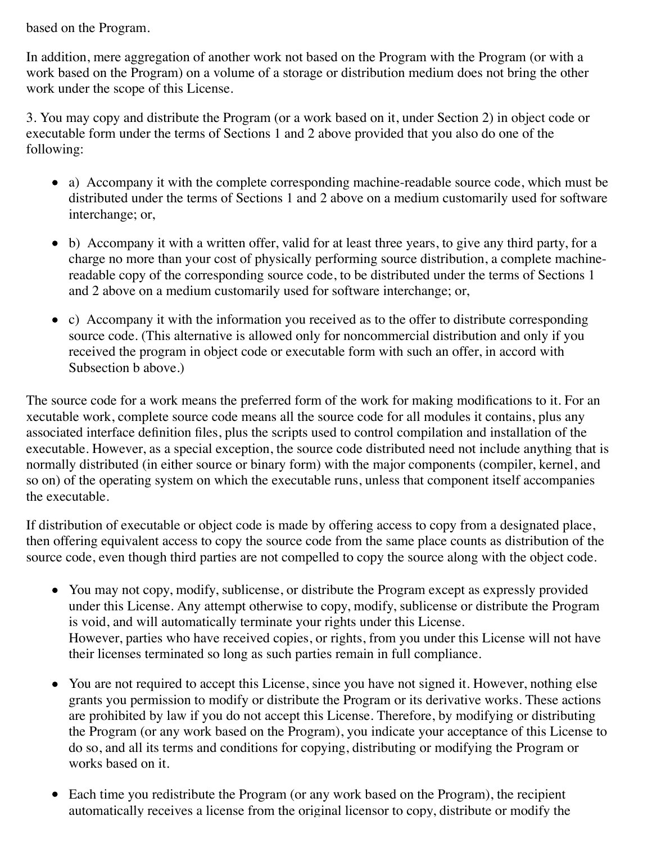based on the Program.

In addition, mere aggregation of another work not based on the Program with the Program (or with a work based on the Program) on a volume of a storage or distribution medium does not bring the other work under the scope of this License.

3. You may copy and distribute the Program (or a work based on it, under Section 2) in object code or executable form under the terms of Sections 1 and 2 above provided that you also do one of the following:

- a) Accompany it with the complete corresponding machine-readable source code, which must be distributed under the terms of Sections 1 and 2 above on a medium customarily used for software interchange; or,
- b) Accompany it with a written offer, valid for at least three years, to give any third party, for a charge no more than your cost of physically performing source distribution, a complete machinereadable copy of the corresponding source code, to be distributed under the terms of Sections 1 and 2 above on a medium customarily used for software interchange; or,
- c) Accompany it with the information you received as to the offer to distribute corresponding source code. (This alternative is allowed only for noncommercial distribution and only if you received the program in object code or executable form with such an offer, in accord with Subsection b above.)

The source code for a work means the preferred form of the work for making modifications to it. For an xecutable work, complete source code means all the source code for all modules it contains, plus any associated interface definition files, plus the scripts used to control compilation and installation of the executable. However, as a special exception, the source code distributed need not include anything that is normally distributed (in either source or binary form) with the major components (compiler, kernel, and so on) of the operating system on which the executable runs, unless that component itself accompanies the executable.

If distribution of executable or object code is made by offering access to copy from a designated place, then offering equivalent access to copy the source code from the same place counts as distribution of the source code, even though third parties are not compelled to copy the source along with the object code.

- You may not copy, modify, sublicense, or distribute the Program except as expressly provided under this License. Any attempt otherwise to copy, modify, sublicense or distribute the Program is void, and will automatically terminate your rights under this License. However, parties who have received copies, or rights, from you under this License will not have their licenses terminated so long as such parties remain in full compliance.
- You are not required to accept this License, since you have not signed it. However, nothing else grants you permission to modify or distribute the Program or its derivative works. These actions are prohibited by law if you do not accept this License. Therefore, by modifying or distributing the Program (or any work based on the Program), you indicate your acceptance of this License to do so, and all its terms and conditions for copying, distributing or modifying the Program or works based on it.
- Each time you redistribute the Program (or any work based on the Program), the recipient automatically receives a license from the original licensor to copy, distribute or modify the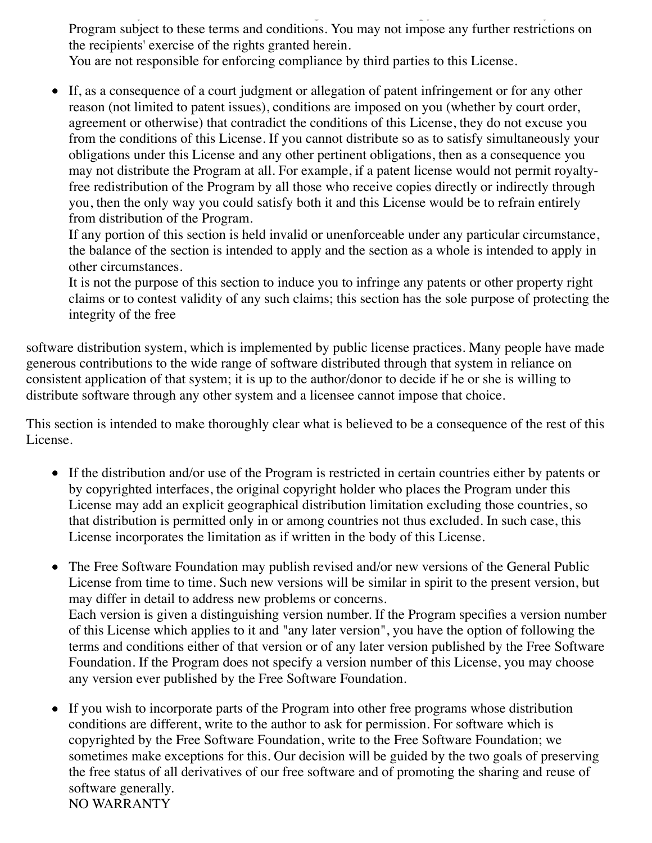automatically receives a license from the original license from the original license from the original license Program subject to these terms and conditions. You may not impose any further restrictions on the recipients' exercise of the rights granted herein.

You are not responsible for enforcing compliance by third parties to this License.

If, as a consequence of a court judgment or allegation of patent infringement or for any other reason (not limited to patent issues), conditions are imposed on you (whether by court order, agreement or otherwise) that contradict the conditions of this License, they do not excuse you from the conditions of this License. If you cannot distribute so as to satisfy simultaneously your obligations under this License and any other pertinent obligations, then as a consequence you may not distribute the Program at all. For example, if a patent license would not permit royaltyfree redistribution of the Program by all those who receive copies directly or indirectly through you, then the only way you could satisfy both it and this License would be to refrain entirely from distribution of the Program.

If any portion of this section is held invalid or unenforceable under any particular circumstance, the balance of the section is intended to apply and the section as a whole is intended to apply in other circumstances.

It is not the purpose of this section to induce you to infringe any patents or other property right claims or to contest validity of any such claims; this section has the sole purpose of protecting the integrity of the free

software distribution system, which is implemented by public license practices. Many people have made generous contributions to the wide range of software distributed through that system in reliance on consistent application of that system; it is up to the author/donor to decide if he or she is willing to distribute software through any other system and a licensee cannot impose that choice.

This section is intended to make thoroughly clear what is believed to be a consequence of the rest of this License.

- If the distribution and/or use of the Program is restricted in certain countries either by patents or by copyrighted interfaces, the original copyright holder who places the Program under this License may add an explicit geographical distribution limitation excluding those countries, so that distribution is permitted only in or among countries not thus excluded. In such case, this License incorporates the limitation as if written in the body of this License.
- The Free Software Foundation may publish revised and/or new versions of the General Public License from time to time. Such new versions will be similar in spirit to the present version, but may differ in detail to address new problems or concerns. Each version is given a distinguishing version number. If the Program specifies a version number of this License which applies to it and "any later version", you have the option of following the terms and conditions either of that version or of any later version published by the Free Software Foundation. If the Program does not specify a version number of this License, you may choose any version ever published by the Free Software Foundation.
- If you wish to incorporate parts of the Program into other free programs whose distribution  $\bullet$ conditions are different, write to the author to ask for permission. For software which is copyrighted by the Free Software Foundation, write to the Free Software Foundation; we sometimes make exceptions for this. Our decision will be guided by the two goals of preserving the free status of all derivatives of our free software and of promoting the sharing and reuse of software generally. NO WARRANTY